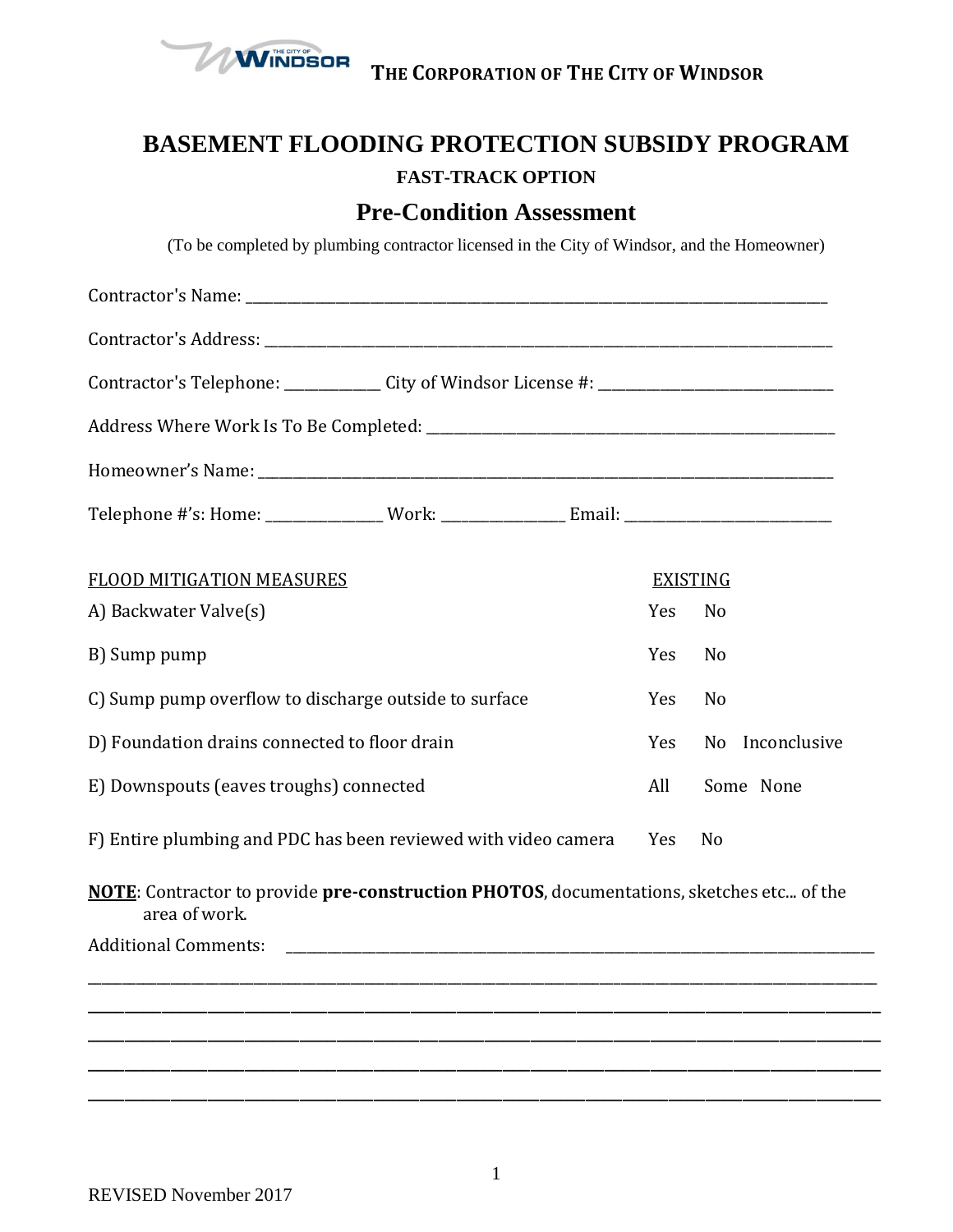

**THE CORPORATION OF THE CITY OF WINDSOR**

## **BASEMENT FLOODING PROTECTION SUBSIDY PROGRAM FAST-TRACK OPTION**

## **Pre-Condition Assessment**

(To be completed by plumbing contractor licensed in the City of Windsor, and the Homeowner)

| Contractor's Telephone: _____________ City of Windsor License #: __________________________________       |  |  |                 |                |              |
|-----------------------------------------------------------------------------------------------------------|--|--|-----------------|----------------|--------------|
|                                                                                                           |  |  |                 |                |              |
|                                                                                                           |  |  |                 |                |              |
|                                                                                                           |  |  |                 |                |              |
| <b>FLOOD MITIGATION MEASURES</b>                                                                          |  |  | <b>EXISTING</b> |                |              |
| A) Backwater Valve(s)                                                                                     |  |  | Yes             | N <sub>0</sub> |              |
| B) Sump pump                                                                                              |  |  | Yes             | N <sub>0</sub> |              |
| C) Sump pump overflow to discharge outside to surface                                                     |  |  | Yes             | N <sub>0</sub> |              |
| D) Foundation drains connected to floor drain                                                             |  |  | Yes             | No             | Inconclusive |
| E) Downspouts (eaves troughs) connected                                                                   |  |  | All             | Some None      |              |
| F) Entire plumbing and PDC has been reviewed with video camera                                            |  |  | Yes             | N <sub>0</sub> |              |
| NOTE: Contractor to provide pre-construction PHOTOS, documentations, sketches etc of the<br>area of work. |  |  |                 |                |              |
| <b>Additional Comments:</b>                                                                               |  |  |                 |                |              |
|                                                                                                           |  |  |                 |                |              |
|                                                                                                           |  |  |                 |                |              |
|                                                                                                           |  |  |                 |                |              |
|                                                                                                           |  |  |                 |                |              |